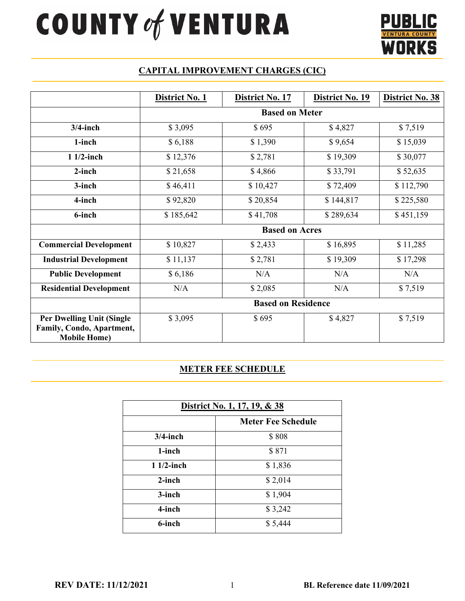# **20UNTY of VENTURA**



# **CAPITAL IMPROVEMENT CHARGES (CIC)**

|                                                                                       | District No. 1            | District No. 17 | District No. 19 | District No. 38 |
|---------------------------------------------------------------------------------------|---------------------------|-----------------|-----------------|-----------------|
|                                                                                       | <b>Based on Meter</b>     |                 |                 |                 |
| $3/4$ -inch                                                                           | \$3,095                   | \$695           | \$4,827         | \$7,519         |
| 1-inch                                                                                | \$6,188                   | \$1,390         | \$9,654         | \$15,039        |
| $11/2$ -inch                                                                          | \$12,376                  | \$2,781         | \$19,309        | \$30,077        |
| 2-inch                                                                                | \$21,658                  | \$4,866         | \$33,791        | \$52,635        |
| 3-inch                                                                                | \$46,411                  | \$10,427        | \$72,409        | \$112,790       |
| 4-inch                                                                                | \$92,820                  | \$20,854        | \$144,817       | \$225,580       |
| 6-inch                                                                                | \$185,642                 | \$41,708        | \$289,634       | \$451,159       |
|                                                                                       | <b>Based on Acres</b>     |                 |                 |                 |
| <b>Commercial Development</b>                                                         | \$10,827                  | \$2,433         | \$16,895        | \$11,285        |
| <b>Industrial Development</b>                                                         | \$11,137                  | \$2,781         | \$19,309        | \$17,298        |
| <b>Public Development</b>                                                             | \$6,186                   | N/A             | N/A             | N/A             |
| <b>Residential Development</b>                                                        | N/A                       | \$2,085         | N/A             | \$7,519         |
|                                                                                       | <b>Based on Residence</b> |                 |                 |                 |
| <b>Per Dwelling Unit (Single)</b><br>Family, Condo, Apartment,<br><b>Mobile Home)</b> | \$3,095                   | \$695           | \$4,827         | \$7,519         |

#### **METER FEE SCHEDULE**

| District No. 1, 17, 19, & 38 |                           |  |
|------------------------------|---------------------------|--|
|                              | <b>Meter Fee Schedule</b> |  |
| $3/4$ -inch                  | \$808                     |  |
| 1-inch                       | \$871                     |  |
| $11/2$ -inch                 | \$1,836                   |  |
| 2-inch                       | \$2,014                   |  |
| 3-inch                       | \$1,904                   |  |
| 4-inch                       | \$3,242                   |  |
| 6-inch                       | \$5,444                   |  |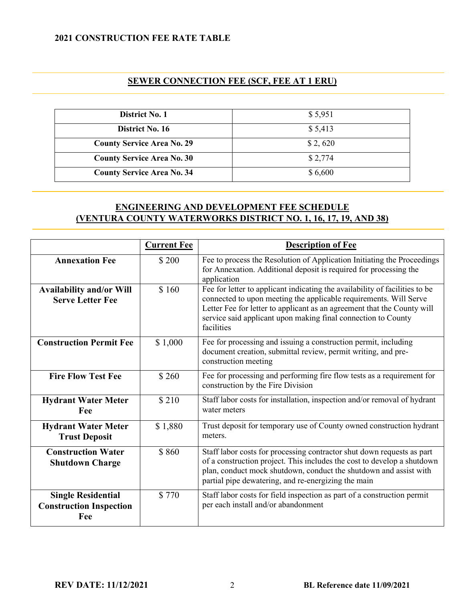#### **2021 CONSTRUCTION FEE RATE TABLE**

### **SEWER CONNECTION FEE (SCF, FEE AT 1 ERU)**

| District No. 1                    | \$5,951 |
|-----------------------------------|---------|
| District No. 16                   | \$5,413 |
| <b>County Service Area No. 29</b> | \$2,620 |
| <b>County Service Area No. 30</b> | \$2,774 |
| <b>County Service Area No. 34</b> | \$6,600 |

# **ENGINEERING AND DEVELOPMENT FEE SCHEDULE (VENTURA COUNTY WATERWORKS DISTRICT NO. 1, 16, 17, 19, AND 38)**

|                                                                    | <b>Current Fee</b> | <b>Description of Fee</b>                                                                                                                                                                                                                                                                                  |
|--------------------------------------------------------------------|--------------------|------------------------------------------------------------------------------------------------------------------------------------------------------------------------------------------------------------------------------------------------------------------------------------------------------------|
| <b>Annexation Fee</b>                                              | \$200              | Fee to process the Resolution of Application Initiating the Proceedings<br>for Annexation. Additional deposit is required for processing the<br>application                                                                                                                                                |
| <b>Availability and/or Will</b><br><b>Serve Letter Fee</b>         | \$160              | Fee for letter to applicant indicating the availability of facilities to be<br>connected to upon meeting the applicable requirements. Will Serve<br>Letter Fee for letter to applicant as an agreement that the County will<br>service said applicant upon making final connection to County<br>facilities |
| <b>Construction Permit Fee</b>                                     | \$1,000            | Fee for processing and issuing a construction permit, including<br>document creation, submittal review, permit writing, and pre-<br>construction meeting                                                                                                                                                   |
| <b>Fire Flow Test Fee</b>                                          | \$260              | Fee for processing and performing fire flow tests as a requirement for<br>construction by the Fire Division                                                                                                                                                                                                |
| <b>Hydrant Water Meter</b><br>Fee                                  | \$210              | Staff labor costs for installation, inspection and/or removal of hydrant<br>water meters                                                                                                                                                                                                                   |
| <b>Hydrant Water Meter</b><br><b>Trust Deposit</b>                 | \$1,880            | Trust deposit for temporary use of County owned construction hydrant<br>meters.                                                                                                                                                                                                                            |
| <b>Construction Water</b><br><b>Shutdown Charge</b>                | \$860              | Staff labor costs for processing contractor shut down requests as part<br>of a construction project. This includes the cost to develop a shutdown<br>plan, conduct mock shutdown, conduct the shutdown and assist with<br>partial pipe dewatering, and re-energizing the main                              |
| <b>Single Residential</b><br><b>Construction Inspection</b><br>Fee | \$770              | Staff labor costs for field inspection as part of a construction permit<br>per each install and/or abandonment                                                                                                                                                                                             |